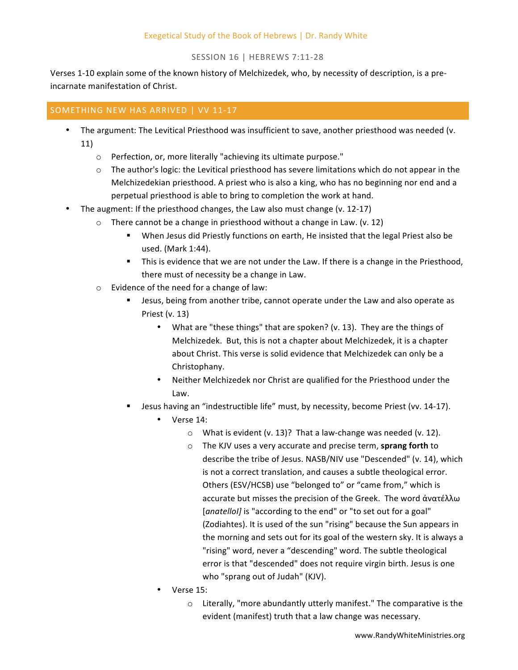# Exegetical Study of the Book of Hebrews | Dr. Randy White

# SESSION 16 | HEBREWS 7:11-28

Verses 1-10 explain some of the known history of Melchizedek, who, by necessity of description, is a preincarnate manifestation of Christ.

# SOMETHING NEW HAS ARRIVED | VV 11-17

- The argument: The Levitical Priesthood was insufficient to save, another priesthood was needed (v. 11)
	- o Perfection, or, more literally "achieving its ultimate purpose."
	- $\circ$  The author's logic: the Levitical priesthood has severe limitations which do not appear in the Melchizedekian priesthood. A priest who is also a king, who has no beginning nor end and a perpetual priesthood is able to bring to completion the work at hand.
- The augment: If the priesthood changes, the Law also must change (v. 12-17)
	- $\circ$  There cannot be a change in priesthood without a change in Law. (v. 12)
		- When Jesus did Priestly functions on earth, He insisted that the legal Priest also be used. (Mark 1:44).
		- **•** This is evidence that we are not under the Law. If there is a change in the Priesthood, there must of necessity be a change in Law.
	- $\circ$  Evidence of the need for a change of law:
		- Jesus, being from another tribe, cannot operate under the Law and also operate as Priest  $(v. 13)$ 
			- What are "these things" that are spoken? (v. 13). They are the things of Melchizedek. But, this is not a chapter about Melchizedek, it is a chapter about Christ. This verse is solid evidence that Melchizedek can only be a Christophany.
			- Neither Melchizedek nor Christ are qualified for the Priesthood under the Law.
		- Jesus having an "indestructible life" must, by necessity, become Priest (vv. 14-17).
			- Verse 14:
				- $\circ$  What is evident (v. 13)? That a law-change was needed (v. 12).
				- o The KJV uses a very accurate and precise term, sprang forth to describe the tribe of Jesus. NASB/NIV use "Descended" (v. 14), which is not a correct translation, and causes a subtle theological error. Others (ESV/HCSB) use "belonged to" or "came from," which is accurate but misses the precision of the Greek. The word ανατέλλω [*anatelloI]* is "according to the end" or "to set out for a goal" (Zodiahtes). It is used of the sun "rising" because the Sun appears in the morning and sets out for its goal of the western sky. It is always a "rising" word, never a "descending" word. The subtle theological error is that "descended" does not require virgin birth. Jesus is one who "sprang out of Judah" (KJV).
			- Verse 15:
				- $\circ$  Literally, "more abundantly utterly manifest." The comparative is the evident (manifest) truth that a law change was necessary.